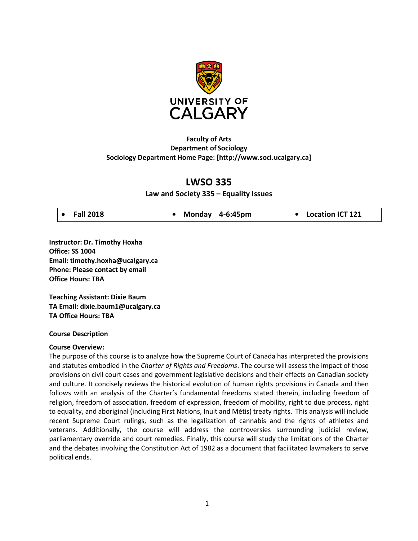

## **Faculty of Arts Department of Sociology Sociology Department Home Page[: \[http://www.soci.ucalgary.ca\]](http://www.soci.ucalgary.ca/)**

# **LWSO 335**

## **Law and Society 335 – Equality Issues**

|  | $\bullet$ Fall 2018 |  |  | • Monday 4-6:45pm |  | • Location ICT 121 |  |
|--|---------------------|--|--|-------------------|--|--------------------|--|
|--|---------------------|--|--|-------------------|--|--------------------|--|

**Instructor: Dr. Timothy Hoxha Office: SS 1004 Email[: timothy.hoxha@ucalgary.](mailto:timothy.hoxha@ucalgary)ca Phone: Please contact by email Office Hours: TBA**

**Teaching Assistant: Dixie Baum TA Email: [dixie.baum1@ucalgary.ca](mailto:dixie.baum1@ucalgary.ca) TA Office Hours: TBA**

### **Course Description**

### **Course Overview:**

The purpose of this course is to analyze how the Supreme Court of Canada has interpreted the provisions and statutes embodied in the *Charter of Rights and Freedoms*. The course will assess the impact of those provisions on civil court cases and government legislative decisions and their effects on Canadian society and culture. It concisely reviews the historical evolution of human rights provisions in Canada and then follows with an analysis of the Charter's fundamental freedoms stated therein, including freedom of religion, freedom of association, freedom of expression, freedom of mobility, right to due process, right to equality, and aboriginal (including First Nations, Inuit and Métis) treaty rights. This analysis will include recent Supreme Court rulings, such as the legalization of cannabis and the rights of athletes and veterans. Additionally, the course will address the controversies surrounding judicial review, parliamentary override and court remedies. Finally, this course will study the limitations of the Charter and the debates involving the Constitution Act of 1982 as a document that facilitated lawmakers to serve political ends.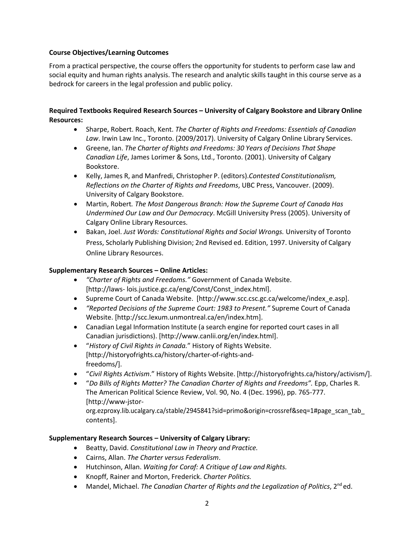### **Course Objectives/Learning Outcomes**

From a practical perspective, the course offers the opportunity for students to perform case law and social equity and human rights analysis. The research and analytic skills taught in this course serve as a bedrock for careers in the legal profession and public policy.

### **Required Textbooks Required Research Sources – University of Calgary Bookstore and Library Online Resources:**

- Sharpe, Robert. Roach, Kent. *The Charter of Rights and Freedoms: Essentials of Canadian Law*. Irwin Law Inc., Toronto. (2009/2017). University of Calgary Online Library Services.
- Greene, Ian. *The Charter of Rights and Freedoms: 30 Years of Decisions That Shape Canadian Life*, James Lorimer & Sons, Ltd., Toronto. (2001). University of Calgary Bookstore.
- Kelly, James R, and Manfredi, Christopher P. (editors).*Contested Constitutionalism, Reflections on the Charter of Rights and Freedoms*, UBC Press, Vancouver. (2009). University of Calgary Bookstore.
- Martin, Robert*. The Most Dangerous Branch: How the Supreme Court of Canada Has Undermined Our Law and Our Democracy*. McGill University Press (2005). University of Calgary Online Library Resources.
- Bakan, Joel. *Just Words: Constitutional Rights and Social Wrongs.* University of Toronto Press, Scholarly Publishing Division; 2nd Revised ed. Edition, 1997. University of Calgary Online Library Resources.

### **Supplementary Research Sources – Online Articles:**

- *"Charter of Rights and Freedoms."* Government of Canada Website. [\[http://laws-](http://laws-/) lois.justice.gc.ca/eng/Const/Const\_index.html].
- Supreme Court of Canada Website. [\[http://www.scc.csc.gc.ca/welcome/index\\_e.asp\].](http://www.scc.csc.gc.ca/welcome/index_e.asp)
- *"Reported Decisions of the Supreme Court: 1983 to Present."* Supreme Court of Canada Website. [\[http://scc.lexum.unmontreal.ca/en/index.htm\]](http://scc.lexum.unmontreal.ca/en/index.htm).
- Canadian Legal Information Institute (a search engine for reported court cases in all Canadian jurisdictions). [\[http://www.canlii.org/en/index.html\].](http://www.canlii.org/en/index.html)
- "*History of Civil Rights in Canada.*" History of Rights Website. [\[http://historyofrights.ca/history/charter-of-rights-and](http://historyofrights.ca/history/charter-of-rights-and-freedoms/)[freedoms/\].](http://historyofrights.ca/history/charter-of-rights-and-freedoms/)
- "*Civil Rights Activism*." History of Rights Website. [\[http://historyofrights.ca/history/activism/\].](http://historyofrights.ca/history/activism/)
- "*Do Bills of Rights Matter? The Canadian Charter of Rights and Freedoms".* Epp, Charles R. The American Political Science Review, Vol. 90, No. 4 (Dec. 1996), pp. 765-777. [\[http://www-jstor-](http://www-jstor-/)

org.ezproxy.lib.ucalgary.ca/stable/2945841?sid=primo&origin=crossref&seq=1#page\_scan\_tab\_ contents].

## **Supplementary Research Sources – University of Calgary Library:**

- Beatty, David. *Constitutional Law in Theory and Practice.*
- Cairns, Allan. *The Charter versus Federalism*.
- Hutchinson, Allan. *Waiting for Coraf: A Critique of Law and Rights.*
- Knopff, Rainer and Morton, Frederick. *Charter Politics.*
- Mandel, Michael. *The Canadian Charter of Rights and the Legalization of Politics*, 2<sup>nd</sup> ed.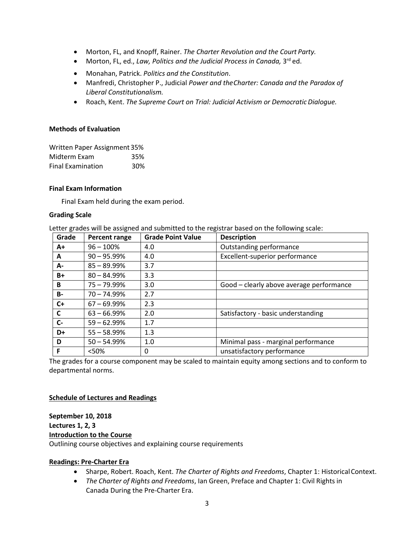- Morton, FL, and Knopff, Rainer. *The Charter Revolution and the Court Party.*
- Morton, FL, ed., *Law, Politics and the Judicial Process in Canada*, 3<sup>rd</sup> ed.
- Monahan, Patrick. *Politics and the Constitution*.
- Manfredi, Christopher P., Judicial *Power and theCharter: Canada and the Paradox of Liberal Constitutionalism.*
- Roach, Kent. *The Supreme Court on Trial: Judicial Activism or DemocraticDialogue.*

#### **Methods of Evaluation**

| Written Paper Assignment 35% |     |  |  |  |  |
|------------------------------|-----|--|--|--|--|
| Midterm Exam                 | 35% |  |  |  |  |
| <b>Final Examination</b>     | 30% |  |  |  |  |

#### **Final Exam Information**

Final Exam held during the exam period.

#### **Grading Scale**

Letter grades will be assigned and submitted to the registrar based on the following scale:

| Grade     | <b>Percent range</b> | <b>Grade Point Value</b> | <b>Description</b>                       |
|-----------|----------------------|--------------------------|------------------------------------------|
| $A+$      | $96 - 100%$          | 4.0                      | Outstanding performance                  |
| A         | $90 - 95.99\%$       | 4.0                      | Excellent-superior performance           |
| A-        | $85 - 89.99\%$       | 3.7                      |                                          |
| $B+$      | $80 - 84.99\%$       | 3.3                      |                                          |
| B         | $75 - 79.99\%$       | 3.0                      | Good - clearly above average performance |
| <b>B-</b> | $70 - 74.99\%$       | 2.7                      |                                          |
| $C+$      | $67 - 69.99%$        | 2.3                      |                                          |
| C         | $63 - 66.99\%$       | 2.0                      | Satisfactory - basic understanding       |
| $C-$      | $59 - 62.99\%$       | 1.7                      |                                          |
| D+        | $55 - 58.99%$        | 1.3                      |                                          |
| D         | $50 - 54.99%$        | 1.0                      | Minimal pass - marginal performance      |
| F         | < 50%                | 0                        | unsatisfactory performance               |

The grades for a course component may be scaled to maintain equity among sections and to conform to departmental norms.

### **Schedule of Lectures and Readings**

# **September 10, 2018 Lectures 1, 2, 3 Introduction to the Course**

Outlining course objectives and explaining course requirements

### **Readings: Pre-Charter Era**

- Sharpe, Robert. Roach, Kent. *The Charter of Rights and Freedoms*, Chapter 1: HistoricalContext.
- *The Charter of Rights and Freedoms*, Ian Green, Preface and Chapter 1: Civil Rights in Canada During the Pre-Charter Era.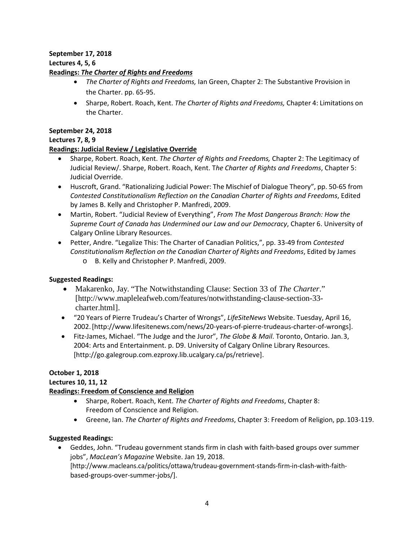# **September 17, 2018**

## **Lectures 4, 5, 6**

## **Readings:** *The Charter of Rights and Freedoms*

- *The Charter of Rights and Freedoms,* Ian Green, Chapter 2: The Substantive Provision in the Charter. pp. 65-95.
- Sharpe, Robert. Roach, Kent. *The Charter of Rights and Freedoms,* Chapter 4: Limitations on the Charter.

## **September 24, 2018**

## **Lectures 7, 8, 9**

## **Readings: Judicial Review / Legislative Override**

- Sharpe, Robert. Roach, Kent. *The Charter of Rights and Freedoms,* Chapter 2: The Legitimacy of Judicial Review/. Sharpe, Robert. Roach, Kent. T*he Charter of Rights and Freedoms*, Chapter 5: Judicial Override.
- Huscroft, Grand. "Rationalizing Judicial Power: The Mischief of Dialogue Theory", pp. 50-65 from *Contested Constitutionalism Reflection on the Canadian Charter of Rights and Freedoms*, Edited by James B. Kelly and Christopher P. Manfredi, 2009.
- Martin, Robert. "Judicial Review of Everything", *From The Most Dangerous Branch: How the Supreme Court of Canada has Undermined our Law and our Democracy*, Chapter 6. University of Calgary Online Library Resources.
- Petter, Andre. "Legalize This: The Charter of Canadian Politics,", pp. 33-49 from *Contested Constitutionalism Reflection on the Canadian Charter of Rights and Freedoms*, Edited by James o B. Kelly and Christopher P. Manfredi, 2009.

# **Suggested Readings:**

- Makarenko, Jay. "The Notwithstanding Clause: Section 33 of *The Charter*." [\[http://www.mapleleafweb.com/features/notwithstanding-clause-section-33](http://www.mapleleafweb.com/features/notwithstanding-clause-section-33-) charter.html].
- "20 Years of Pierre Trudeau's Charter of Wrongs", *LifeSiteNews* Website. Tuesday, April 16, 2002[.\[http://www.lifesitenews.com/news/20-years-of-pierre-trudeaus-charter-of-wrongs\].](http://www.lifesitenews.com/news/20-years-of-pierre-trudeaus-charter-of-wrongs)
- Fitz-James, Michael. "The Judge and the Juror", *The Globe & Mail*. Toronto, Ontario. Jan.3, 2004: Arts and Entertainment. p. D9. University of Calgary Online Library Resources. [\[http://go.galegroup.com.ezproxy.lib.ucalgary.ca/ps/retrieve\]](http://go.galegroup.com.ezproxy.lib.ucalgary.ca/ps/retrieve).

# **October 1, 2018**

# **Lectures 10, 11, 12**

# **Readings: Freedom of Conscience and Religion**

- Sharpe, Robert. Roach, Kent. *The Charter of Rights and Freedoms*, Chapter 8: Freedom of Conscience and Religion.
- Greene, Ian. *The Charter of Rights and Freedoms*, Chapter 3: Freedom of Religion, pp.103-119.

# **Suggested Readings:**

• Geddes, John. "Trudeau government stands firm in clash with faith-based groups over summer jobs", *MacLean's Magazine* Website. Jan 19, 2018.

[\[http://www.macleans.ca/politics/ottawa/trudeau-government-stands-firm-in-clash-with-faith](http://www.macleans.ca/politics/ottawa/trudeau-government-stands-firm-in-clash-with-faith-)based-groups-over-summer-jobs/].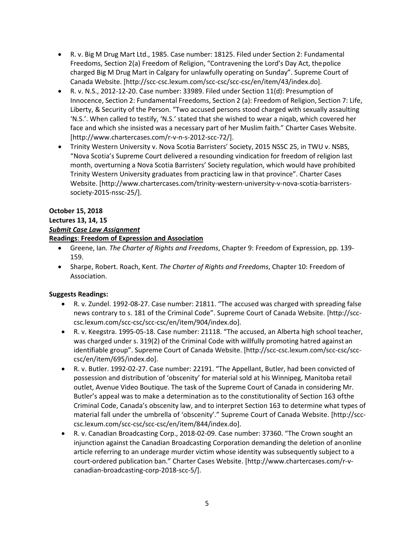- R. v. Big M Drug Mart Ltd., 1985. Case number: 18125. Filed under Section 2: Fundamental Freedoms, Section 2(a) Freedom of Religion, "Contravening the Lord's Day Act, thepolice charged Big M Drug Mart in Calgary for unlawfully operating on Sunday". Supreme Court of Canada Website. [\[http://scc-csc.lexum.com/scc-csc/scc-csc/en/item/43/index.do\]](http://scc-csc.lexum.com/scc-csc/scc-csc/en/item/43/index.do).
- R. v. N.S., 2012-12-20. Case number: 33989. Filed under Section 11(d): Presumption of Innocence, Section 2: Fundamental Freedoms, Section 2 (a): Freedom of Religion, Section 7: Life, Liberty, & Security of the Person. "Two accused persons stood charged with sexually assaulting 'N.S.'. When called to testify, 'N.S.' stated that she wished to wear a niqab, which covered her face and which she insisted was a necessary part of her Muslim faith." Charter Cases Website. [\[http://www.chartercases.com/r-v-n-s-2012-scc-72/\].](http://www.chartercases.com/r-v-n-s-2012-scc-72/)
- Trinity Western University v. Nova Scotia Barristers' Society, 2015 NSSC 25, in TWU v. NSBS, "Nova Scotia's Supreme Court delivered a resounding vindication for freedom of religion last month, overturning a Nova Scotia Barristers' Society regulation, which would have prohibited Trinity Western University graduates from practicing law in that province". Charter Cases Website[. \[http://www.chartercases.com/trinity-western-university-v-nova-scotia-barristers](http://www.chartercases.com/trinity-western-university-v-nova-scotia-barristers-)society-2015-nssc-25/].

## **October 15, 2018**

# **Lectures 13, 14, 15**

## *Submit Case Law Assignment*

## **Readings**: **Freedom of Expression and Association**

- Greene, Ian. *The Charter of Rights and Freedoms*, Chapter 9: Freedom of Expression, pp. 139- 159.
- Sharpe, Robert. Roach, Kent. *The Charter of Rights and Freedoms*, Chapter 10: Freedom of Association.

## **Suggests Readings:**

- R. v. Zundel. 1992-08-27. Case number: 21811. "The accused was charged with spreading false news contrary to s. 181 of the Criminal Code". Supreme Court of Canada Website. [\[http://scc](http://scc-/)csc.lexum.com/scc-csc/scc-csc/en/item/904/index.do].
- R. v. Keegstra. 1995-05-18. Case number: 21118. "The accused, an Alberta high school teacher, was charged under s. 319(2) of the Criminal Code with willfully promoting hatred against an identifiable group". Supreme Court of Canada Website. [\[http://scc-csc.lexum.com/scc-csc/scc](http://scc-csc.lexum.com/scc-csc/scc-)csc/en/item/695/index.do].
- R. v. Butler. 1992-02-27. Case number: 22191. "The Appellant, Butler, had been convicted of possession and distribution of 'obscenity' for material sold at his Winnipeg, Manitoba retail outlet, Avenue Video Boutique. The task of the Supreme Court of Canada in considering Mr. Butler's appeal was to make a determination as to the constitutionality of Section 163 ofthe Criminal Code, Canada's obscenity law, and to interpret Section 163 to determine what types of material fall under the umbrella of 'obscenity'." Supreme Court of Canada Website. [\[http://scc](http://scc-/)csc.lexum.com/scc-csc/scc-csc/en/item/844/index.do].
- R. v. Canadian Broadcasting Corp., 2018-02-09. Case number: 37360. "The Crown sought an injunction against the Canadian Broadcasting Corporation demanding the deletion of anonline article referring to an underage murder victim whose identity was subsequently subject to a court-ordered publication ban." Charter Cases Website. [\[http://www.chartercases.com/r-v](http://www.chartercases.com/r-v-)canadian-broadcasting-corp-2018-scc-5/].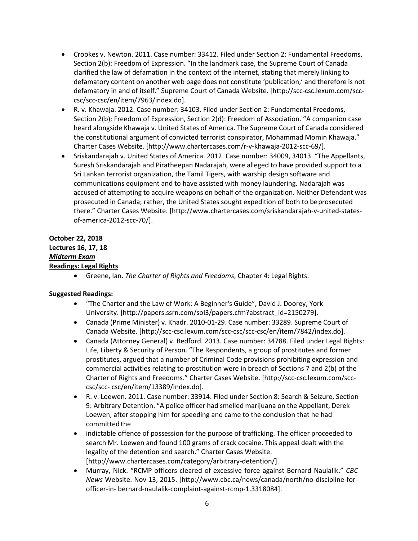- Crookes v. Newton. 2011. Case number: 33412. Filed under Section 2: Fundamental Freedoms, Section 2(b): Freedom of Expression. "In the landmark case, the Supreme Court of Canada clarified the law of defamation in the context of the internet, stating that merely linking to defamatory content on another web page does not constitute 'publication,' and therefore is not defamatory in and of itself." Supreme Court of Canada Website. [\[http://scc-csc.lexum.com/scc](http://scc-csc.lexum.com/scc-)csc/scc-csc/en/item/7963/index.do].
- R. v. Khawaja. 2012. Case number: 34103. Filed under Section 2: Fundamental Freedoms, Section 2(b): Freedom of Expression, Section 2(d): Freedom of Association. "A companion case heard alongside Khawaja v. United States of America. The Supreme Court of Canada considered the constitutional argument of convicted terrorist conspirator, Mohammad Momin Khawaja." Charter Cases Website. [\[http://www.chartercases.com/r-v-khawaja-2012-scc-69/\]](http://www.chartercases.com/r-v-khawaja-2012-scc-69/).
- Sriskandarajah v. United States of America. 2012. Case number: 34009, 34013. "The Appellants, Suresh Sriskandarajah and Piratheepan Nadarajah, were alleged to have provided support to a Sri Lankan terrorist organization, the Tamil Tigers, with warship design software and communications equipment and to have assisted with money laundering. Nadarajah was accused of attempting to acquire weapons on behalf of the organization. Neither Defendant was prosecuted in Canada; rather, the United States sought expedition of both to beprosecuted there." Charter Cases Website. [\[http://www.chartercases.com/sriskandarajah-v-united-states](http://www.chartercases.com/sriskandarajah-v-united-states-)of-america-2012-scc-70/].

## **October 22, 2018 Lectures 16, 17, 18** *Midterm Exam* **Readings: Legal Rights**

• Greene, Ian. *The Charter of Rights and Freedoms*, Chapter 4: Legal Rights.

### **Suggested Readings:**

- "The Charter and the Law of Work: A Beginner's Guide", David J. Doorey, York University. [\[http://papers.ssrn.com/sol3/papers.cfm?abstract\\_id=2150279\]](http://papers.ssrn.com/sol3/papers.cfm?abstract_id=2150279).
- Canada (Prime Minister) v. Khadr. 2010-01-29. Case number: 33289. Supreme Court of Canada Website. [\[http://scc-csc.lexum.com/scc-csc/scc-csc/en/item/7842/index.do\].](http://scc-csc.lexum.com/scc-csc/scc-csc/en/item/7842/index.do)
- Canada (Attorney General) v. Bedford. 2013. Case number: 34788. Filed under Legal Rights: Life, Liberty & Security of Person. "The Respondents, a group of prostitutes and former prostitutes, argued that a number of Criminal Code provisions prohibiting expression and commercial activities relating to prostitution were in breach of Sections 7 and 2(b) of the Charter of Rights and Freedoms." Charter Cases Website. [\[http://scc-csc.lexum.com/scc](http://scc-csc.lexum.com/scc-csc/scc-)[csc/scc-](http://scc-csc.lexum.com/scc-csc/scc-) csc/en/item/13389/index.do].
- R. v. Loewen. 2011. Case number: 33914. Filed under Section 8: Search & Seizure, Section 9: Arbitrary Detention. "A police officer had smelled marijuana on the Appellant, Derek Loewen, after stopping him for speeding and came to the conclusion that he had committed the
- indictable offence of possession for the purpose of trafficking. The officer proceeded to search Mr. Loewen and found 100 grams of crack cocaine. This appeal dealt with the legality of the detention and search." Charter Cases Website. [\[http://www.chartercases.com/category/arbitrary-detention/\].](http://www.chartercases.com/category/arbitrary-detention/)
- Murray, Nick. "RCMP officers cleared of excessive force against Bernard Naulalik." *CBC News* Website. Nov 13, 2015. [\[http://www.cbc.ca/news/canada/north/no-discipline-for](http://www.cbc.ca/news/canada/north/no-discipline-for-officer-in-)[officer-in-](http://www.cbc.ca/news/canada/north/no-discipline-for-officer-in-) bernard-naulalik-complaint-against-rcmp-1.3318084].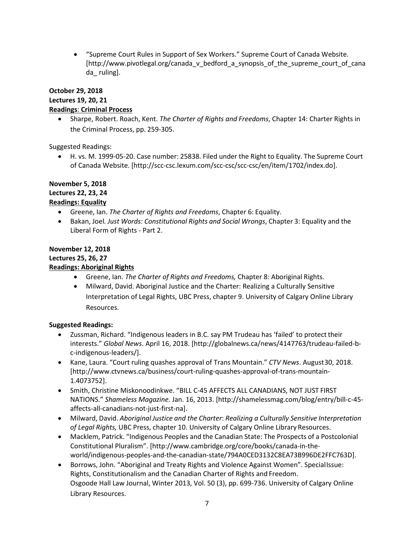• "Supreme Court Rules in Support of Sex Workers." Supreme Court of Canada Website. [\[http://www.pivotlegal.org/canada\\_v\\_bedford\\_a\\_synopsis\\_of\\_the\\_supreme\\_court\\_of\\_cana](http://www.pivotlegal.org/canada_v_bedford_a_synopsis_of_the_supreme_court_of_canada_) da ruling].

# **October 29, 2018 Lectures 19, 20, 21 Readings**: **Criminal Process**

• Sharpe, Robert. Roach, Kent. *The Charter of Rights and Freedoms*, Chapter 14: Charter Rights in the Criminal Process, pp. 259-305.

Suggested Readings:

• H. vs. M. 1999-05-20. Case number: 25838. Filed under the Right to Equality. The Supreme Court of Canada Website. [\[http://scc-csc.lexum.com/scc-csc/scc-csc/en/item/1702/index.do\]](http://scc-csc.lexum.com/scc-csc/scc-csc/en/item/1702/index.do).

## **November 5, 2018 Lectures 22, 23, 24 Readings: Equality**

- Greene, Ian. *The Charter of Rights and Freedoms*, Chapter 6: Equality.
- Bakan, Joel*. Just Words: Constitutional Rights and Social Wrongs*, Chapter 3: Equality and the Liberal Form of Rights - Part 2.

## **November 12, 2018 Lectures 25, 26, 27 Readings: Aboriginal Rights**

- Greene, Ian. *The Charter of Rights and Freedoms,* Chapter 8: Aboriginal Rights.
- Milward, David. Aboriginal Justice and the Charter: Realizing a Culturally Sensitive Interpretation of Legal Rights, UBC Press, chapter 9. University of Calgary Online Library Resources.

# **Suggested Readings:**

- Zussman, Richard. "Indigenous leaders in B.C. say PM Trudeau has 'failed' to protecttheir interests." *Global News*. April 16, 2018[. \[http://globalnews.ca/news/4147763/trudeau-failed-b](http://globalnews.ca/news/4147763/trudeau-failed-b-)c-indigenous-leaders/].
- Kane, Laura. "Court ruling quashes approval of Trans Mountain." *CTV News*. August30, 2018. [\[http://www.ctvnews.ca/business/court-ruling-quashes-approval-of-trans-mountain-](http://www.ctvnews.ca/business/court-ruling-quashes-approval-of-trans-mountain-)1.4073752].
- Smith, Christine Miskonoodinkwe. "BILL C-45 AFFECTS ALL CANADIANS, NOT JUST FIRST NATIONS." *Shameless Magazine.* Jan. 16, 2013. [\[http://shamelessmag.com/blog/entry/bill-c-45](http://shamelessmag.com/blog/entry/bill-c-45-) affects-all-canadians-not-just-first-na].
- Milward, David. *Aboriginal Justice and the Charter*: *Realizing a Culturally Sensitive Interpretation of Legal Rights,* UBC Press, chapter 10. University of Calgary Online Library Resources.
- Macklem, Patrick. "Indigenous Peoples and the Canadian State: The Prospects of a Postcolonial Constitutional Pluralism". [\[http://www.cambridge.org/core/books/canada-in-the](http://www.cambridge.org/core/books/canada-in-the-)world/indigenous-peoples-and-the-canadian-state/794A0CED3132C8EA73B996DE2FFC763D].
- Borrows, John. "Aboriginal and Treaty Rights and Violence Against Women". SpecialIssue: Rights, Constitutionalism and the Canadian Charter of Rights and Freedom. Osgoode Hall Law Journal, Winter 2013, Vol. 50 (3), pp. 699-736. University of Calgary Online Library Resources.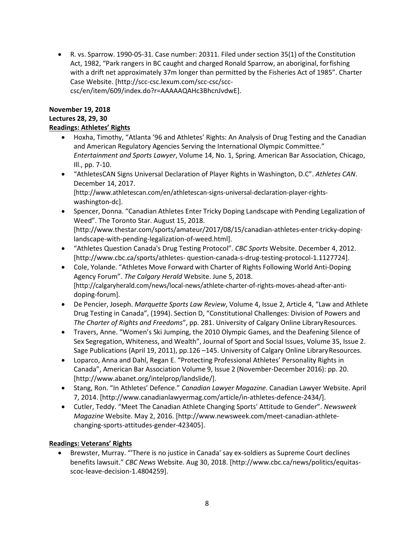• R. vs. Sparrow. 1990-05-31. Case number: 20311. Filed under section 35(1) of the Constitution Act, 1982, "Park rangers in BC caught and charged Ronald Sparrow, an aboriginal, forfishing with a drift net approximately 37m longer than permitted by the Fisheries Act of 1985". Charter Case Website. [\[http://scc-csc.lexum.com/scc-csc/scc](http://scc-csc.lexum.com/scc-csc/scc-)csc/en/item/609/index.do?r=AAAAAQAHc3BhcnJvdwE].

### **November 19, 2018**

## **Lectures 28, 29, 30**

## **Readings: Athletes' Rights**

- Hoxha, Timothy, "Atlanta '96 and Athletes' Rights: An Analysis of Drug Testing and the Canadian and American Regulatory Agencies Serving the International Olympic Committee." *Entertainment and Sports Lawyer*, Volume 14, No. 1, Spring. American Bar Association, Chicago, Ill., pp. 7-10.
- "AthletesCAN Signs Universal Declaration of Player Rights in Washington, D.C". *Athletes CAN*. December 14, 2017. [\[http://www.athletescan.com/en/athletescan-signs-universal-declaration-player-rights-](http://www.athletescan.com/en/athletescan-signs-universal-declaration-player-rights-)

washington-dc].

- Spencer, Donna. "Canadian Athletes Enter Tricky Doping Landscape with Pending Legalization of Weed". The Toronto Star. August 15, 2018. [\[http://www.thestar.com/sports/amateur/2017/08/15/canadian-athletes-enter-tricky-doping](http://www.thestar.com/sports/amateur/2017/08/15/canadian-athletes-enter-tricky-doping-)landscape-with-pending-legalization-of-weed.html].
- "Athletes Question Canada's Drug Testing Protocol". *CBC Sports* Website. December 4, 2012. [\[http://www.cbc.ca/sports/athletes-](http://www.cbc.ca/sports/athletes-) question-canada-s-drug-testing-protocol-1.1127724].
- Cole, Yolande. "Athletes Move Forward with Charter of Rights Following World Anti-Doping Agency Forum". *The Calgary Herald* Website. June 5, 2018. [\[http://calgaryherald.com/news/local-news/athlete-charter-of-rights-moves-ahead-after-anti](http://calgaryherald.com/news/local-news/athlete-charter-of-rights-moves-ahead-after-anti-)doping-forum].
- De Pencier, Joseph. *Marquette Sports Law Review*, Volume 4, Issue 2, Article 4, "Law and Athlete Drug Testing in Canada", (1994). Section D, "Constitutional Challenges: Division of Powers and *The Charter of Rights and Freedoms*", pp. 281. University of Calgary Online LibraryResources.
- Travers, Anne. "Women's Ski Jumping, the 2010 Olympic Games, and the Deafening Silence of Sex Segregation, Whiteness, and Wealth", Journal of Sport and Social Issues, Volume 35, Issue 2. Sage Publications (April 19, 2011), pp.126 -145. University of Calgary Online Library Resources.
- Loparco, Anna and Dahl, Regan E. "Protecting Professional Athletes' Personality Rights in Canada", American Bar Association Volume 9, Issue 2 (November-December 2016): pp. 20. [\[http://www.abanet.org/intelprop/landslide/\]](http://www.abanet.org/intelprop/landslide/).
- Stang, Ron. "In Athletes' Defence." *Canadian Lawyer Magazine*. Canadian Lawyer Website. April 7, 2014. [\[http://www.canadianlawyermag.com/article/in-athletes-defence-2434/\]](http://www.canadianlawyermag.com/article/in-athletes-defence-2434/).
- Cutler, Teddy. "Meet The Canadian Athlete Changing Sports' Attitude to Gender". *Newsweek Magazine* Website. May 2, 2016. [\[http://www.newsweek.com/meet-canadian-athlete](http://www.newsweek.com/meet-canadian-athlete-)changing-sports-attitudes-gender-423405].

## **Readings: Veterans' Rights**

• Brewster, Murray. "'There is no justice in Canada' say ex-soldiers as Supreme Court declines benefits lawsuit." *CBC News* Website. Aug 30, 2018[. \[http://www.cbc.ca/news/politics/equitas](http://www.cbc.ca/news/politics/equitas-scoc-leave-decision-1.4804259)[scoc-leave-decision-1.4804259\]](http://www.cbc.ca/news/politics/equitas-scoc-leave-decision-1.4804259).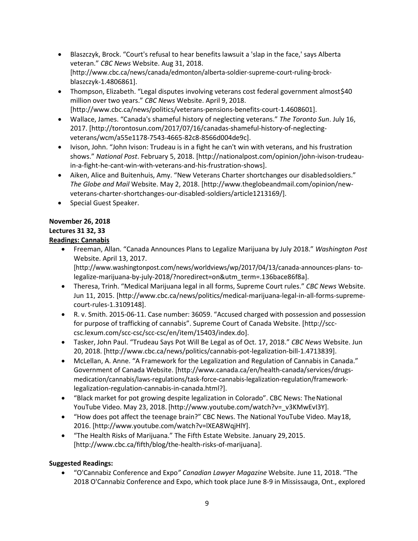- Blaszczyk, Brock. "Court's refusal to hear benefits lawsuit a 'slap in the face,' says Alberta veteran." *CBC News* Website. Aug 31, 2018. [\[http://www.cbc.ca/news/canada/edmonton/alberta-soldier-supreme-court-ruling-brock](http://www.cbc.ca/news/canada/edmonton/alberta-soldier-supreme-court-ruling-brock-blaszczyk-1.4806861)[blaszczyk-1.4806861\]](http://www.cbc.ca/news/canada/edmonton/alberta-soldier-supreme-court-ruling-brock-blaszczyk-1.4806861).
- Thompson, Elizabeth. "Legal disputes involving veterans cost federal government almost\$40 million over two years." *CBC News* Website. April 9, 2018. [\[http://www.cbc.ca/news/politics/veterans-pensions-benefits-court-1.4608601\].](http://www.cbc.ca/news/politics/veterans-pensions-benefits-court-1.4608601)
- Wallace, James. "Canada's shameful history of neglecting veterans." *The Toronto Sun*. July 16, 2017[. \[http://torontosun.com/2017/07/16/canadas-shameful-history-of-neglecting](http://torontosun.com/2017/07/16/canadas-shameful-history-of-neglecting-veterans/wcm/a55e1178-7543-4665-82c8-8566d004de9c)[veterans/wcm/a55e1178-7543-4665-82c8-8566d004de9c\]](http://torontosun.com/2017/07/16/canadas-shameful-history-of-neglecting-veterans/wcm/a55e1178-7543-4665-82c8-8566d004de9c).
- Ivison, John. "John Ivison: Trudeau is in a fight he can't win with veterans, and his frustration shows." *National Post*. February 5, 2018. [\[http://nationalpost.com/opinion/john-ivison-trudeau](http://nationalpost.com/opinion/john-ivison-trudeau-in-a-fight-he-cant-win-with-veterans-and-his-frustration-shows)[in-a-fight-he-cant-win-with-veterans-and-his-frustration-shows\]](http://nationalpost.com/opinion/john-ivison-trudeau-in-a-fight-he-cant-win-with-veterans-and-his-frustration-shows).
- Aiken, Alice and Buitenhuis, Amy. "New Veterans Charter shortchanges our disabledsoldiers." *The Globe and Mail* Website. May 2, 2018. [\[http://www.theglobeandmail.com/opinion/new](http://www.theglobeandmail.com/opinion/new-)veterans-charter-shortchanges-our-disabled-soldiers/article1213169/].
- Special Guest Speaker.

## **November 26, 2018**

# **Lectures 31 32, 33**

# **Readings: Cannabis**

• Freeman, Allan. "Canada Announces Plans to Legalize Marijuana by July 2018." *Washington Post*  Website. April 13, 2017.

[\[http://www.washingtonpost.com/news/worldviews/wp/2017/04/13/canada-announces-plans-](http://www.washingtonpost.com/news/worldviews/wp/2017/04/13/canada-announces-plans-) tolegalize-marijuana-by-july-2018/?noredirect=on&utm\_term=.136bace86f8a].

- Theresa, Trinh. "Medical Marijuana legal in all forms, Supreme Court rules." *CBC News* Website. Jun 11, 2015. [\[http://www.cbc.ca/news/politics/medical-marijuana-legal-in-all-forms-supreme](http://www.cbc.ca/news/politics/medical-marijuana-legal-in-all-forms-supreme-)court-rules-1.3109148].
- R. v. Smith. 2015-06-11. Case number: 36059. "Accused charged with possession and possession for purpose of trafficking of cannabis". Supreme Court of Canada Website. [\[http://scc](http://scc-/)csc.lexum.com/scc-csc/scc-csc/en/item/15403/index.do].
- Tasker, John Paul. "Trudeau Says Pot Will Be Legal as of Oct. 17, 2018." *CBC News* Website. Jun 20, 2018. [\[http://www.cbc.ca/news/politics/cannabis-pot-legalization-bill-1.4713839\].](http://www.cbc.ca/news/politics/cannabis-pot-legalization-bill-1.4713839)
- McLellan, A. Anne. "A Framework for the Legalization and Regulation of Cannabis in Canada." Government of Canada Website[. \[http://www.canada.ca/en/health-canada/services/drugs](http://www.canada.ca/en/health-canada/services/drugs-)medication/cannabis/laws-regulations/task-force-cannabis-legalization-regulation/frameworklegalization-regulation-cannabis-in-canada.html?].
- "Black market for pot growing despite legalization in Colorado". CBC News: The National YouTube Video. May 23, 2018. [\[http://www.youtube.com/watch?v=\\_v3KMwEvI3Y\].](http://www.youtube.com/watch?v=_v3KMwEvI3Y)
- "How does pot affect the teenage brain?" CBC News. The National YouTube Video. May18, 2016. [\[http://www.youtube.com/watch?v=lXEA8WqjHlY\].](http://www.youtube.com/watch?v=lXEA8WqjHlY)
- "The Health Risks of Marijuana." The Fifth Estate Website. January 29,2015. [\[http://www.cbc.ca/fifth/blog/the-health-risks-of-marijuana\].](http://www.cbc.ca/fifth/blog/the-health-risks-of-marijuana)

## **Suggested Readings:**

• "O'Cannabiz Conference and Expo*" Canadian Lawyer Magazine* Website. June 11, 2018. "The 2018 O'Cannabiz Conference and Expo, which took place June 8-9 in Mississauga, Ont., explored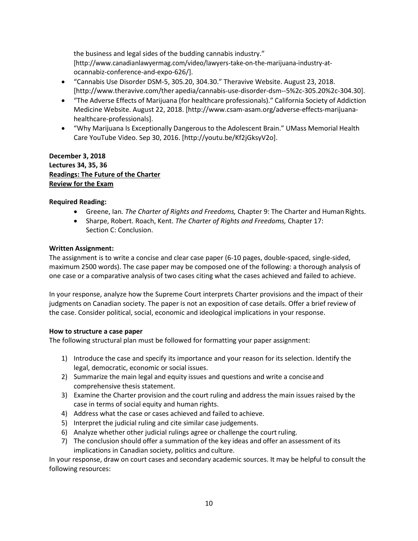the business and legal sides of the budding cannabis industry." [\[http://www.canadianlawyermag.com/video/lawyers-take-on-the-marijuana-industry-at](http://www.canadianlawyermag.com/video/lawyers-take-on-the-marijuana-industry-at-)ocannabiz-conference-and-expo-626/].

- "Cannabis Use Disorder DSM-5, 305.20, 304.30." Theravive Website. August 23, 2018. [\[http://www.theravive.com/ther](http://www.theravive.com/ther) apedia/cannabis-use-disorder-dsm--5%2c-305.20%2c-304.30].
- "The Adverse Effects of Marijuana (for healthcare professionals)." California Society of Addiction Medicine Website. August 22, 2018. [\[http://www.csam-asam.org/adverse-effects-marijuana](http://www.csam-asam.org/adverse-effects-marijuana-)healthcare-professionals].
- "Why Marijuana Is Exceptionally Dangerous to the Adolescent Brain." UMass Memorial Health Care YouTube Video. Sep 30, 2016. [\[http://youtu.be/Kf2jGksyV2o\]](http://youtu.be/Kf2jGksyV2o).

**December 3, 2018 Lectures 34, 35, 36 Readings: The Future of the Charter Review for the Exam**

### **Required Reading:**

- Greene, Ian*. The Charter of Rights and Freedoms,* Chapter 9: The Charter and HumanRights.
- Sharpe, Robert. Roach, Kent. *The Charter of Rights and Freedoms,* Chapter 17: Section C: Conclusion.

#### **Written Assignment:**

The assignment is to write a concise and clear case paper (6-10 pages, double-spaced, single-sided, maximum 2500 words). The case paper may be composed one of the following: a thorough analysis of one case or a comparative analysis of two cases citing what the cases achieved and failed to achieve.

In your response, analyze how the Supreme Court interprets Charter provisions and the impact of their judgments on Canadian society. The paper is not an exposition of case details. Offer a brief review of the case. Consider political, social, economic and ideological implications in your response.

### **How to structure a case paper**

The following structural plan must be followed for formatting your paper assignment:

- 1) Introduce the case and specify its importance and your reason for its selection. Identify the legal, democratic, economic or social issues.
- 2) Summarize the main legal and equity issues and questions and write a conciseand comprehensive thesis statement.
- 3) Examine the Charter provision and the court ruling and address the main issues raised by the case in terms of social equity and human rights.
- 4) Address what the case or cases achieved and failed to achieve.
- 5) Interpret the judicial ruling and cite similar case judgements.
- 6) Analyze whether other judicial rulings agree or challenge the court ruling.
- 7) The conclusion should offer a summation of the key ideas and offer an assessment of its implications in Canadian society, politics and culture.

In your response, draw on court cases and secondary academic sources. It may be helpful to consult the following resources: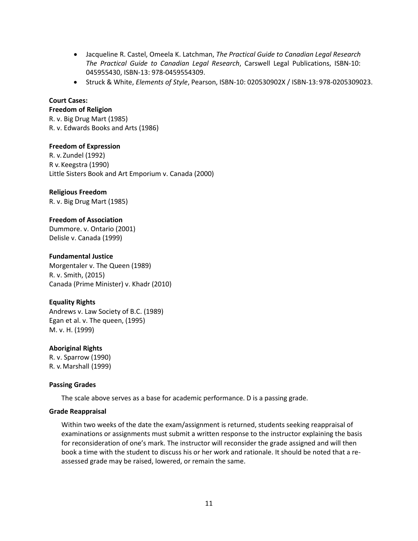- Jacqueline R. Castel, Omeela K. Latchman, *The Practical Guide to Canadian Legal Research The Practical Guide to Canadian Legal Research*, Carswell Legal Publications, ISBN-10: 045955430, ISBN-13: 978-0459554309.
- Struck & White, *Elements of Style*, Pearson, ISBN-10: 020530902X / ISBN-13: 978-0205309023.

#### **Court Cases:**

#### **Freedom of Religion**

R. v. Big Drug Mart (1985) R. v. Edwards Books and Arts (1986)

**Freedom of Expression** R. v. Zundel (1992) R v. Keegstra (1990) Little Sisters Book and Art Emporium v. Canada (2000)

#### **Religious Freedom**

R. v. Big Drug Mart (1985)

#### **Freedom of Association**

Dummore. v. Ontario (2001) Delisle v. Canada (1999)

#### **Fundamental Justice**

Morgentaler v. The Queen (1989) R. v. Smith, (2015) Canada (Prime Minister) v. Khadr (2010)

### **Equality Rights**

Andrews v. Law Society of B.C. (1989) Egan et al. v. The queen, (1995) M. v. H. (1999)

### **Aboriginal Rights**

R. v. Sparrow (1990) R. v. Marshall (1999)

### **Passing Grades**

The scale above serves as a base for academic performance. D is a passing grade.

#### **Grade Reappraisal**

Within two weeks of the date the exam/assignment is returned, students seeking reappraisal of examinations or assignments must submit a written response to the instructor explaining the basis for reconsideration of one's mark. The instructor will reconsider the grade assigned and will then book a time with the student to discuss his or her work and rationale. It should be noted that a reassessed grade may be raised, lowered, or remain the same.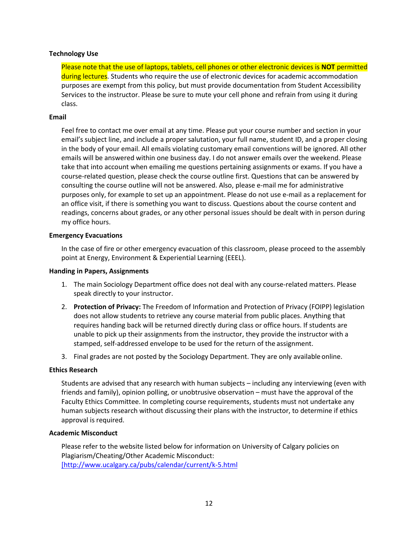#### **Technology Use**

Please note that the use of laptops, tablets, cell phones or other electronic devices is **NOT** permitted during lectures. Students who require the use of electronic devices for academic accommodation purposes are exempt from this policy, but must provide documentation from Student Accessibility Services to the instructor. Please be sure to mute your cell phone and refrain from using it during class.

#### **Email**

Feel free to contact me over email at any time. Please put your course number and section in your email's subject line, and include a proper salutation, your full name, student ID, and a proper closing in the body of your email. All emails violating customary email conventions will be ignored. All other emails will be answered within one business day. I do not answer emails over the weekend. Please take that into account when emailing me questions pertaining assignments or exams. If you have a course-related question, please check the course outline first. Questions that can be answered by consulting the course outline will not be answered. Also, please e-mail me for administrative purposes only, for example to set up an appointment. Please do not use e-mail as a replacement for an office visit, if there is something you want to discuss. Questions about the course content and readings, concerns about grades, or any other personal issues should be dealt with in person during my office hours.

#### **Emergency Evacuations**

In the case of fire or other emergency evacuation of this classroom, please proceed to the assembly point at Energy, Environment & Experiential Learning (EEEL).

#### **Handing in Papers, Assignments**

- 1. The main Sociology Department office does not deal with any course-related matters. Please speak directly to your instructor.
- 2. **Protection of Privacy:** The Freedom of Information and Protection of Privacy (FOIPP) legislation does not allow students to retrieve any course material from public places. Anything that requires handing back will be returned directly during class or office hours. If students are unable to pick up their assignments from the instructor, they provide the instructor with a stamped, self-addressed envelope to be used for the return of the assignment.
- 3. Final grades are not posted by the Sociology Department. They are only availableonline.

#### **Ethics Research**

Students are advised that any research with human subjects – including any interviewing (even with friends and family), opinion polling, or unobtrusive observation – must have the approval of the Faculty Ethics Committee. In completing course requirements, students must not undertake any human subjects research without discussing their plans with the instructor, to determine if ethics approval is required.

#### **Academic Misconduct**

Please refer to the website listed below for information on University of Calgary policies on Plagiarism/Cheating/Other Academic Misconduct: [\[http://www.ucalgary.ca/pubs/calendar/current/k-5.html](http://www.ucalgary.ca/pubs/calendar/current/k-5.html)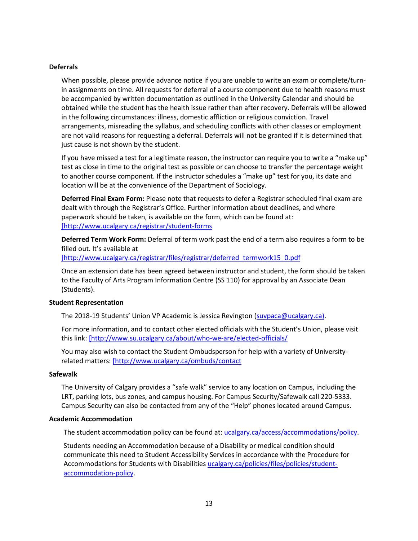#### **Deferrals**

When possible, please provide advance notice if you are unable to write an exam or complete/turnin assignments on time. All requests for deferral of a course component due to health reasons must be accompanied by written documentation as outlined in the University Calendar and should be obtained while the student has the health issue rather than after recovery. Deferrals will be allowed in the following circumstances: illness, domestic affliction or religious conviction. Travel arrangements, misreading the syllabus, and scheduling conflicts with other classes or employment are not valid reasons for requesting a deferral. Deferrals will not be granted if it is determined that just cause is not shown by the student.

If you have missed a test for a legitimate reason, the instructor can require you to write a "make up" test as close in time to the original test as possible or can choose to transfer the percentage weight to another course component. If the instructor schedules a "make up" test for you, its date and location will be at the convenience of the Department of Sociology.

**Deferred Final Exam Form:** Please note that requests to defer a Registrar scheduled final exam are dealt with through the Registrar's Office. Further information about deadlines, and where paperwork should be taken, is available on the form, which can be found at: [\[http://www.ucalgary.ca/registrar/student-forms](https://www.ucalgary.ca/registrar/student-forms)

**Deferred Term Work Form:** Deferral of term work past the end of a term also requires a form to be filled out. It's available at [\[http://www.ucalgary.ca/registrar/files/registrar/deferred\\_termwork15\\_0.pdf](https://www.ucalgary.ca/registrar/files/registrar/deferred_termwork15_0.pdf)

Once an extension date has been agreed between instructor and student, the form should be taken to the Faculty of Arts Program Information Centre (SS 110) for approval by an Associate Dean (Students).

#### **Student Representation**

The 2018-19 Students' Union VP Academic is Jessica Revington [\(suvpaca@ucalgary.ca\)](mailto:suvpaca@ucalgary.ca).

For more information, and to contact other elected officials with the Student's Union, please visit this link: [\[http://www.su.ucalgary.ca/about/who-we-are/elected-officials/](https://www.su.ucalgary.ca/about/who-we-are/elected-officials/)

You may also wish to contact the Student Ombudsperson for help with a variety of Universityrelated matters: [\[http://www.ucalgary.ca/ombuds/contact](http://www.ucalgary.ca/ombuds/contact)

#### **Safewalk**

The University of Calgary provides a "safe walk" service to any location on Campus, including the LRT, parking lots, bus zones, and campus housing. For Campus Security/Safewalk call 220-5333. Campus Security can also be contacted from any of the "Help" phones located around Campus.

#### **Academic Accommodation**

The student accommodation policy can be found at[: ucalgary.ca/access/accommodations/policy.](http://www.ucalgary.ca/access/accommodations/policy)

Students needing an Accommodation because of a Disability or medical condition should communicate this need to Student Accessibility Services in accordance with the Procedure for Accommodations for Students with Disabilities [ucalgary.ca/policies/files/policies/student](http://www.ucalgary.ca/policies/files/policies/student-accommodation-policy.pdf)[accommodation-policy.](http://www.ucalgary.ca/policies/files/policies/student-accommodation-policy.pdf)